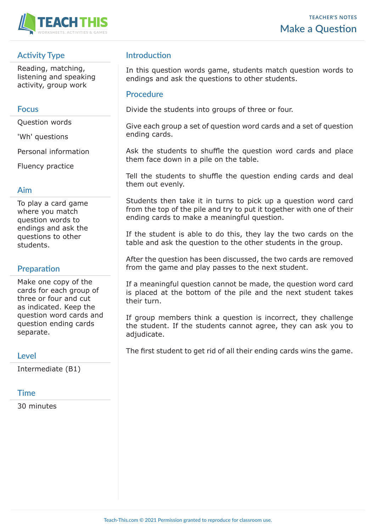

## **Activity Type**

Reading, matching, listening and speaking activity, group work

### **Focus**

Question words

'Wh' questions

Personal information

Fluency practice

#### **Aim**

To play a card game where you match question words to endings and ask the questions to other students.

## **Preparation**

Make one copy of the cards for each group of three or four and cut as indicated. Keep the question word cards and question ending cards separate.

#### **Level**

Intermediate (B1)

## **Time**

30 minutes

## **Introduction**

In this question words game, students match question words to endings and ask the questions to other students.

### **Procedure**

Divide the students into groups of three or four.

Give each group a set of question word cards and a set of question ending cards.

Ask the students to shuffle the question word cards and place them face down in a pile on the table.

Tell the students to shuffle the question ending cards and deal them out evenly.

Students then take it in turns to pick up a question word card from the top of the pile and try to put it together with one of their ending cards to make a meaningful question.

If the student is able to do this, they lay the two cards on the table and ask the question to the other students in the group.

After the question has been discussed, the two cards are removed from the game and play passes to the next student.

If a meaningful question cannot be made, the question word card is placed at the bottom of the pile and the next student takes their turn.

If group members think a question is incorrect, they challenge the student. If the students cannot agree, they can ask you to adjudicate.

The first student to get rid of all their ending cards wins the game.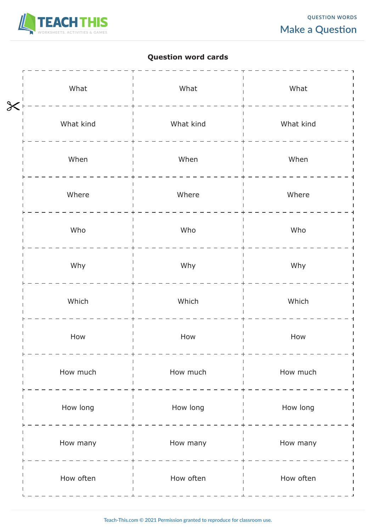

# **Question word cards**

| What                                 | What      | What      |
|--------------------------------------|-----------|-----------|
| $\overline{\mathsf{X}}$<br>What kind | What kind | What kind |
|                                      |           |           |
| When                                 | When      | When      |
| Where                                | Where     | Where     |
| Who                                  | Who       | Who       |
| Why                                  | Why       | Why       |
| Which                                | Which     | Which     |
| How                                  | How       | How       |
| How much                             | How much  | How much  |
| How long                             | How long  | How long  |
| How many                             | How many  | How many  |
| How often                            | How often | How often |